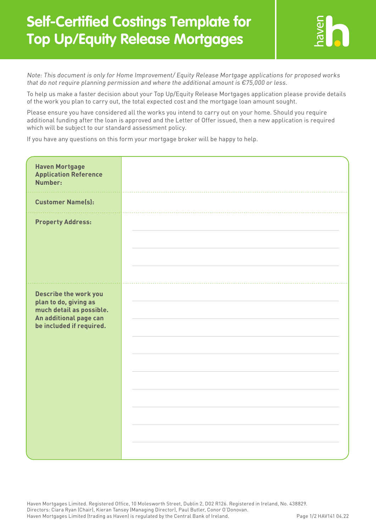## **Self-Certified Costings Template for Top Up/Equity Release Mortgages**



Note: This document is only for Home Improvement/ Equity Release Mortgage applications for proposed works that do not require planning permission and where the additional amount is  $\epsilon$ 75,000 or less.

To help us make a faster decision about your Top Up/Equity Release Mortgages application please provide details of the work you plan to carry out, the total expected cost and the mortgage loan amount sought.

Please ensure you have considered all the works you intend to carry out on your home. Should you require additional funding after the loan is approved and the Letter of Offer issued, then a new application is required which will be subject to our standard assessment policy.

If you have any questions on this form your mortgage broker will be happy to help.